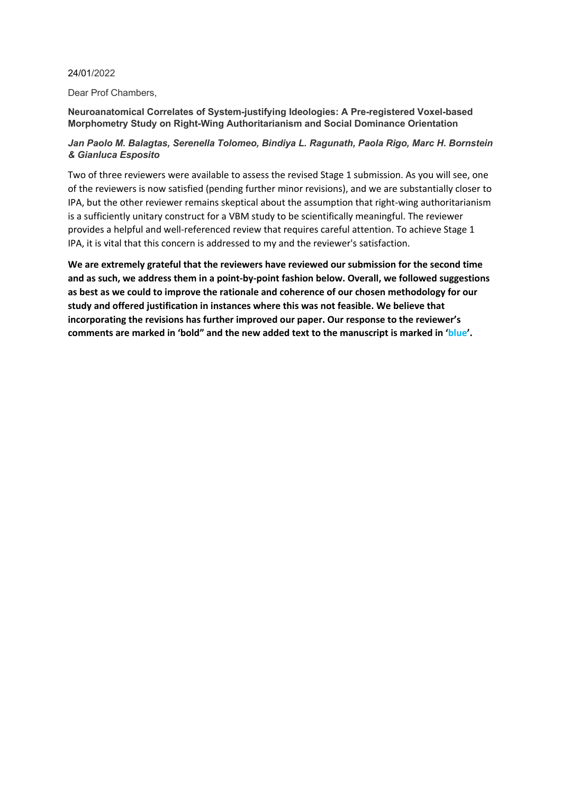## 24/01/2022

Dear Prof Chambers,

# **Neuroanatomical Correlates of System-justifying Ideologies: A Pre-registered Voxel-based Morphometry Study on Right-Wing Authoritarianism and Social Dominance Orientation**

## *Jan Paolo M. Balagtas, Serenella Tolomeo, Bindiya L. Ragunath, Paola Rigo, Marc H. Bornstein & Gianluca Esposito*

Two of three reviewers were available to assess the revised Stage 1 submission. As you will see, one of the reviewers is now satisfied (pending further minor revisions), and we are substantially closer to IPA, but the other reviewer remains skeptical about the assumption that right-wing authoritarianism is a sufficiently unitary construct for a VBM study to be scientifically meaningful. The reviewer provides a helpful and well-referenced review that requires careful attention. To achieve Stage 1 IPA, it is vital that this concern is addressed to my and the reviewer's satisfaction.

**We are extremely grateful that the reviewers have reviewed our submission for the second time and as such, we address them in a point-by-point fashion below. Overall, we followed suggestions as best as we could to improve the rationale and coherence of our chosen methodology for our study and offered justification in instances where this was not feasible. We believe that incorporating the revisions has further improved our paper. Our response to the reviewer's comments are marked in 'bold" and the new added text to the manuscript is marked in 'blue'.**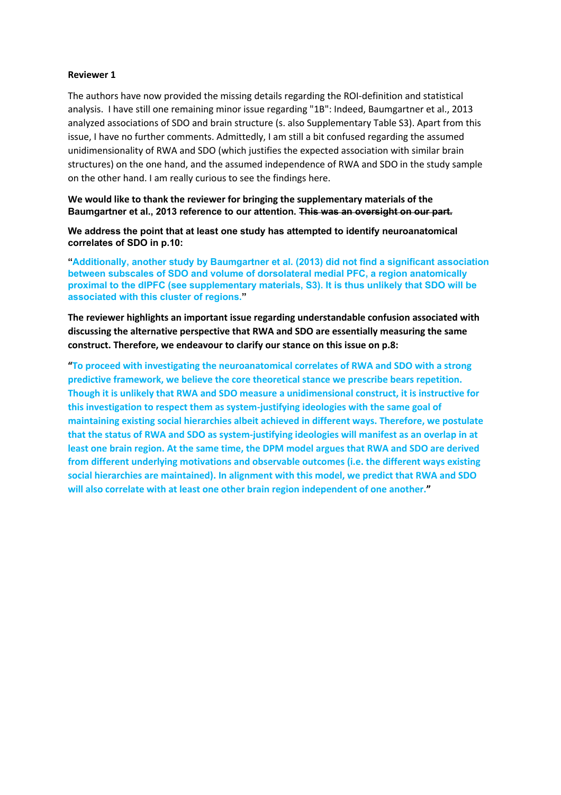## **Reviewer 1**

The authors have now provided the missing details regarding the ROI-definition and statistical analysis. I have still one remaining minor issue regarding "1B": Indeed, Baumgartner et al., 2013 analyzed associations of SDO and brain structure (s. also Supplementary Table S3). Apart from this issue, I have no further comments. Admittedly, I am still a bit confused regarding the assumed unidimensionality of RWA and SDO (which justifies the expected association with similar brain structures) on the one hand, and the assumed independence of RWA and SDO in the study sample on the other hand. I am really curious to see the findings here.

**We would like to thank the reviewer for bringing the supplementary materials of the Baumgartner et al., 2013 reference to our attention. This was an oversight on our part.** 

**We address the point that at least one study has attempted to identify neuroanatomical correlates of SDO in p.10:**

**"Additionally, another study by Baumgartner et al. (2013) did not find a significant association between subscales of SDO and volume of dorsolateral medial PFC, a region anatomically proximal to the dlPFC (see supplementary materials, S3). It is thus unlikely that SDO will be associated with this cluster of regions."**

**The reviewer highlights an important issue regarding understandable confusion associated with discussing the alternative perspective that RWA and SDO are essentially measuring the same construct. Therefore, we endeavour to clarify our stance on this issue on p.8:**

**"To proceed with investigating the neuroanatomical correlates of RWA and SDO with a strong predictive framework, we believe the core theoretical stance we prescribe bears repetition. Though it is unlikely that RWA and SDO measure a unidimensional construct, it is instructive for this investigation to respect them as system-justifying ideologies with the same goal of maintaining existing social hierarchies albeit achieved in different ways. Therefore, we postulate that the status of RWA and SDO as system-justifying ideologies will manifest as an overlap in at least one brain region. At the same time, the DPM model argues that RWA and SDO are derived from different underlying motivations and observable outcomes (i.e. the different ways existing social hierarchies are maintained). In alignment with this model, we predict that RWA and SDO will also correlate with at least one other brain region independent of one another."**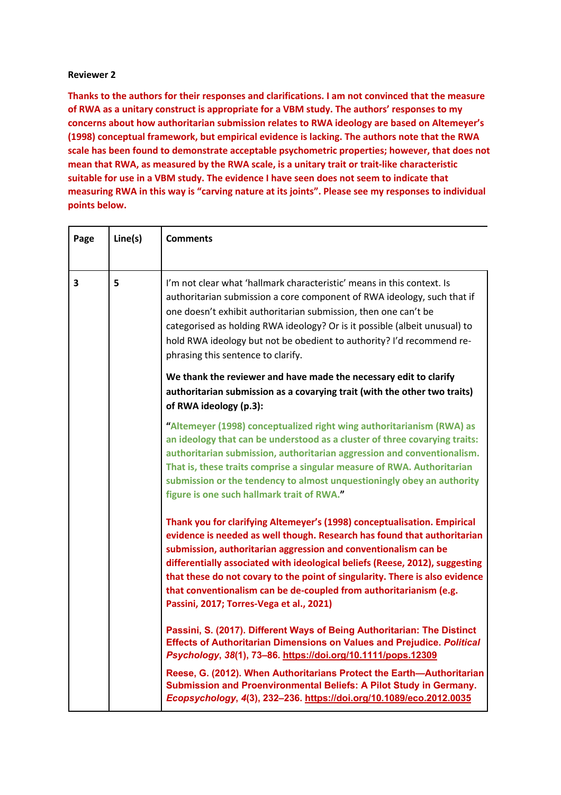## **Reviewer 2**

**Thanks to the authors for their responses and clarifications. I am not convinced that the measure of RWA as a unitary construct is appropriate for a VBM study. The authors' responses to my concerns about how authoritarian submission relates to RWA ideology are based on Altemeyer's (1998) conceptual framework, but empirical evidence is lacking. The authors note that the RWA scale has been found to demonstrate acceptable psychometric properties; however, that does not mean that RWA, as measured by the RWA scale, is a unitary trait or trait-like characteristic suitable for use in a VBM study. The evidence I have seen does not seem to indicate that measuring RWA in this way is "carving nature at its joints". Please see my responses to individual points below.**

| Page | Line(s) | <b>Comments</b>                                                                                                                                                                                                                                                                                                                                                                                                                                                                                           |
|------|---------|-----------------------------------------------------------------------------------------------------------------------------------------------------------------------------------------------------------------------------------------------------------------------------------------------------------------------------------------------------------------------------------------------------------------------------------------------------------------------------------------------------------|
| 3    | 5       | I'm not clear what 'hallmark characteristic' means in this context. Is<br>authoritarian submission a core component of RWA ideology, such that if<br>one doesn't exhibit authoritarian submission, then one can't be<br>categorised as holding RWA ideology? Or is it possible (albeit unusual) to<br>hold RWA ideology but not be obedient to authority? I'd recommend re-<br>phrasing this sentence to clarify.                                                                                         |
|      |         | We thank the reviewer and have made the necessary edit to clarify<br>authoritarian submission as a covarying trait (with the other two traits)<br>of RWA ideology (p.3):                                                                                                                                                                                                                                                                                                                                  |
|      |         | "Altemeyer (1998) conceptualized right wing authoritarianism (RWA) as<br>an ideology that can be understood as a cluster of three covarying traits:<br>authoritarian submission, authoritarian aggression and conventionalism.<br>That is, these traits comprise a singular measure of RWA. Authoritarian<br>submission or the tendency to almost unquestioningly obey an authority<br>figure is one such hallmark trait of RWA."                                                                         |
|      |         | Thank you for clarifying Altemeyer's (1998) conceptualisation. Empirical<br>evidence is needed as well though. Research has found that authoritarian<br>submission, authoritarian aggression and conventionalism can be<br>differentially associated with ideological beliefs (Reese, 2012), suggesting<br>that these do not covary to the point of singularity. There is also evidence<br>that conventionalism can be de-coupled from authoritarianism (e.g.<br>Passini, 2017; Torres-Vega et al., 2021) |
|      |         | Passini, S. (2017). Different Ways of Being Authoritarian: The Distinct<br><b>Effects of Authoritarian Dimensions on Values and Prejudice. Political</b><br>Psychology, 38(1), 73-86. https://doi.org/10.1111/pops.12309                                                                                                                                                                                                                                                                                  |
|      |         | Reese, G. (2012). When Authoritarians Protect the Earth-Authoritarian<br>Submission and Proenvironmental Beliefs: A Pilot Study in Germany.<br>Ecopsychology, 4(3), 232-236. https://doi.org/10.1089/eco.2012.0035                                                                                                                                                                                                                                                                                        |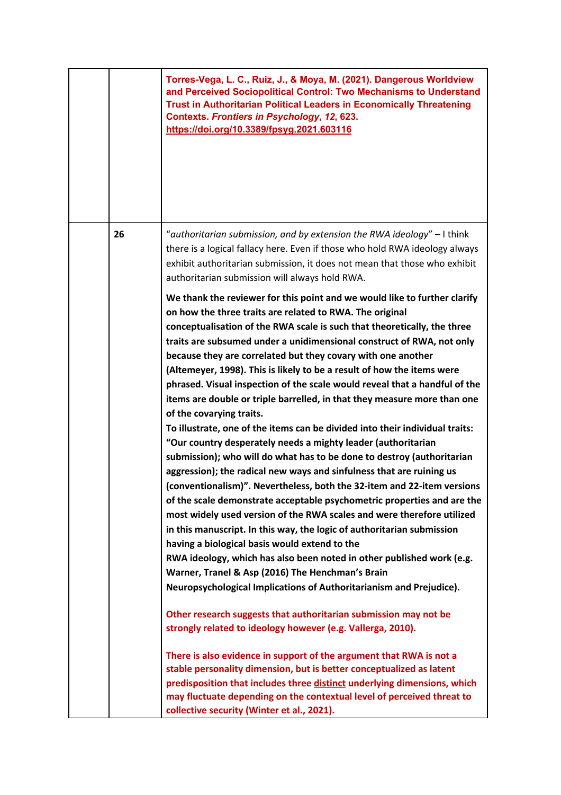|    | Torres-Vega, L. C., Ruiz, J., & Moya, M. (2021). Dangerous Worldview<br>and Perceived Sociopolitical Control: Two Mechanisms to Understand<br><b>Trust in Authoritarian Political Leaders in Economically Threatening</b><br><b>Contexts. Frontiers in Psychology, 12, 623.</b><br>https://doi.org/10.3389/fpsyg.2021.603116                                                                                                                                                                                                                                                                                                                                                                                                                                                                                                                                                                                                                                                                                                                                                                                                                                                                                                                                                                                                                                                                                                                                                                 |
|----|----------------------------------------------------------------------------------------------------------------------------------------------------------------------------------------------------------------------------------------------------------------------------------------------------------------------------------------------------------------------------------------------------------------------------------------------------------------------------------------------------------------------------------------------------------------------------------------------------------------------------------------------------------------------------------------------------------------------------------------------------------------------------------------------------------------------------------------------------------------------------------------------------------------------------------------------------------------------------------------------------------------------------------------------------------------------------------------------------------------------------------------------------------------------------------------------------------------------------------------------------------------------------------------------------------------------------------------------------------------------------------------------------------------------------------------------------------------------------------------------|
| 26 | "authoritarian submission, and by extension the RWA ideology" - I think<br>there is a logical fallacy here. Even if those who hold RWA ideology always<br>exhibit authoritarian submission, it does not mean that those who exhibit<br>authoritarian submission will always hold RWA.                                                                                                                                                                                                                                                                                                                                                                                                                                                                                                                                                                                                                                                                                                                                                                                                                                                                                                                                                                                                                                                                                                                                                                                                        |
|    | We thank the reviewer for this point and we would like to further clarify<br>on how the three traits are related to RWA. The original<br>conceptualisation of the RWA scale is such that theoretically, the three<br>traits are subsumed under a unidimensional construct of RWA, not only<br>because they are correlated but they covary with one another<br>(Altemeyer, 1998). This is likely to be a result of how the items were<br>phrased. Visual inspection of the scale would reveal that a handful of the<br>items are double or triple barrelled, in that they measure more than one<br>of the covarying traits.<br>To illustrate, one of the items can be divided into their individual traits:<br>"Our country desperately needs a mighty leader (authoritarian<br>submission); who will do what has to be done to destroy (authoritarian<br>aggression); the radical new ways and sinfulness that are ruining us<br>(conventionalism)". Nevertheless, both the 32-item and 22-item versions<br>of the scale demonstrate acceptable psychometric properties and are the<br>most widely used version of the RWA scales and were therefore utilized<br>in this manuscript. In this way, the logic of authoritarian submission<br>having a biological basis would extend to the<br>RWA ideology, which has also been noted in other published work (e.g.<br>Warner, Tranel & Asp (2016) The Henchman's Brain<br>Neuropsychological Implications of Authoritarianism and Prejudice). |
|    | Other research suggests that authoritarian submission may not be<br>strongly related to ideology however (e.g. Vallerga, 2010).                                                                                                                                                                                                                                                                                                                                                                                                                                                                                                                                                                                                                                                                                                                                                                                                                                                                                                                                                                                                                                                                                                                                                                                                                                                                                                                                                              |
|    | There is also evidence in support of the argument that RWA is not a<br>stable personality dimension, but is better conceptualized as latent<br>predisposition that includes three distinct underlying dimensions, which<br>may fluctuate depending on the contextual level of perceived threat to<br>collective security (Winter et al., 2021).                                                                                                                                                                                                                                                                                                                                                                                                                                                                                                                                                                                                                                                                                                                                                                                                                                                                                                                                                                                                                                                                                                                                              |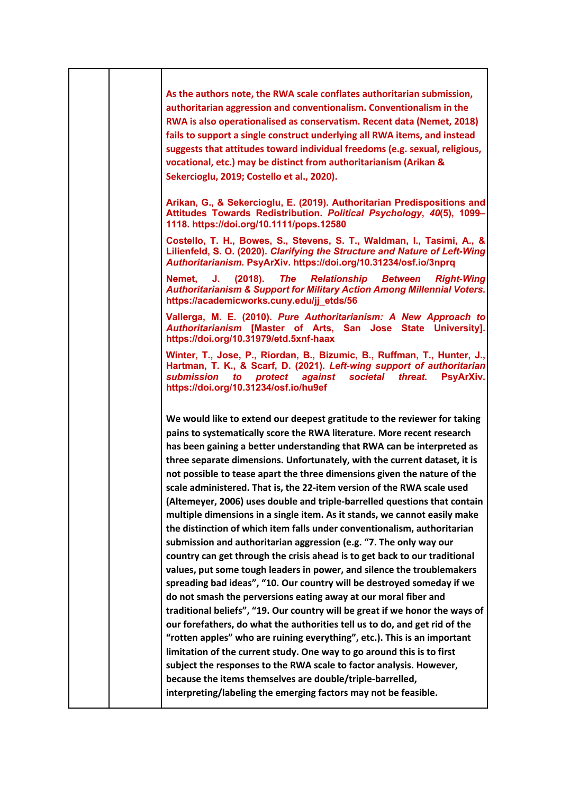| As the authors note, the RWA scale conflates authoritarian submission,<br>authoritarian aggression and conventionalism. Conventionalism in the<br>RWA is also operationalised as conservatism. Recent data (Nemet, 2018)<br>fails to support a single construct underlying all RWA items, and instead<br>suggests that attitudes toward individual freedoms (e.g. sexual, religious,<br>vocational, etc.) may be distinct from authoritarianism (Arikan &<br>Sekercioglu, 2019; Costello et al., 2020).<br>Arikan, G., & Sekercioglu, E. (2019). Authoritarian Predispositions and<br>Attitudes Towards Redistribution. Political Psychology, 40(5), 1099-<br>1118. https://doi.org/10.1111/pops.12580<br>Costello, T. H., Bowes, S., Stevens, S. T., Waldman, I., Tasimi, A., &<br>Lilienfeld, S. O. (2020). Clarifying the Structure and Nature of Left-Wing<br>Authoritarianism. PsyArXiv. https://doi.org/10.31234/osf.io/3nprq<br>(2018).<br><b>Relationship Between</b><br>Nemet,<br>J.<br>The<br><b>Right-Wing</b><br><b>Authoritarianism &amp; Support for Military Action Among Millennial Voters.</b><br>https://academicworks.cuny.edu/jj_etds/56<br>Vallerga, M. E. (2010). Pure Authoritarianism: A New Approach to<br>Authoritarianism [Master of Arts, San Jose State University].<br>https://doi.org/10.31979/etd.5xnf-haax<br>Winter, T., Jose, P., Riordan, B., Bizumic, B., Ruffman, T., Hunter, J.,<br>Hartman, T. K., & Scarf, D. (2021). Left-wing support of authoritarian<br>submission<br>protect against<br>societal<br>PsyArXiv.<br>to<br>threat.<br>https://doi.org/10.31234/osf.io/hu9ef |
|-----------------------------------------------------------------------------------------------------------------------------------------------------------------------------------------------------------------------------------------------------------------------------------------------------------------------------------------------------------------------------------------------------------------------------------------------------------------------------------------------------------------------------------------------------------------------------------------------------------------------------------------------------------------------------------------------------------------------------------------------------------------------------------------------------------------------------------------------------------------------------------------------------------------------------------------------------------------------------------------------------------------------------------------------------------------------------------------------------------------------------------------------------------------------------------------------------------------------------------------------------------------------------------------------------------------------------------------------------------------------------------------------------------------------------------------------------------------------------------------------------------------------------------------------------------------------------------------------------------------------|
|                                                                                                                                                                                                                                                                                                                                                                                                                                                                                                                                                                                                                                                                                                                                                                                                                                                                                                                                                                                                                                                                                                                                                                                                                                                                                                                                                                                                                                                                                                                                                                                                                       |
|                                                                                                                                                                                                                                                                                                                                                                                                                                                                                                                                                                                                                                                                                                                                                                                                                                                                                                                                                                                                                                                                                                                                                                                                                                                                                                                                                                                                                                                                                                                                                                                                                       |
|                                                                                                                                                                                                                                                                                                                                                                                                                                                                                                                                                                                                                                                                                                                                                                                                                                                                                                                                                                                                                                                                                                                                                                                                                                                                                                                                                                                                                                                                                                                                                                                                                       |
|                                                                                                                                                                                                                                                                                                                                                                                                                                                                                                                                                                                                                                                                                                                                                                                                                                                                                                                                                                                                                                                                                                                                                                                                                                                                                                                                                                                                                                                                                                                                                                                                                       |
|                                                                                                                                                                                                                                                                                                                                                                                                                                                                                                                                                                                                                                                                                                                                                                                                                                                                                                                                                                                                                                                                                                                                                                                                                                                                                                                                                                                                                                                                                                                                                                                                                       |
|                                                                                                                                                                                                                                                                                                                                                                                                                                                                                                                                                                                                                                                                                                                                                                                                                                                                                                                                                                                                                                                                                                                                                                                                                                                                                                                                                                                                                                                                                                                                                                                                                       |
| We would like to extend our deepest gratitude to the reviewer for taking<br>pains to systematically score the RWA literature. More recent research<br>has been gaining a better understanding that RWA can be interpreted as<br>three separate dimensions. Unfortunately, with the current dataset, it is<br>not possible to tease apart the three dimensions given the nature of the<br>scale administered. That is, the 22-item version of the RWA scale used<br>(Altemeyer, 2006) uses double and triple-barrelled questions that contain<br>multiple dimensions in a single item. As it stands, we cannot easily make<br>the distinction of which item falls under conventionalism, authoritarian<br>submission and authoritarian aggression (e.g. "7. The only way our<br>country can get through the crisis ahead is to get back to our traditional<br>values, put some tough leaders in power, and silence the troublemakers<br>spreading bad ideas", "10. Our country will be destroyed someday if we<br>do not smash the perversions eating away at our moral fiber and<br>traditional beliefs", "19. Our country will be great if we honor the ways of<br>our forefathers, do what the authorities tell us to do, and get rid of the<br>"rotten apples" who are ruining everything", etc.). This is an important<br>limitation of the current study. One way to go around this is to first<br>subject the responses to the RWA scale to factor analysis. However,<br>because the items themselves are double/triple-barrelled,<br>interpreting/labeling the emerging factors may not be feasible.           |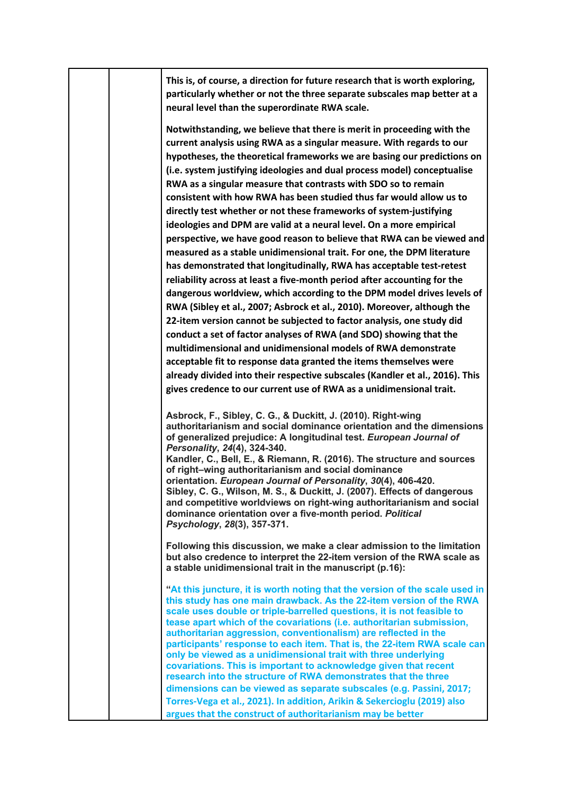|  | This is, of course, a direction for future research that is worth exploring,<br>particularly whether or not the three separate subscales map better at a<br>neural level than the superordinate RWA scale.                                                                                                                                                                                                                                                                                                                                                                                                                                                                                                                                                                                                                                                                                                                                                                                                                                                                                                                                                                                                                                                                                                                                                                                                                                                                                            |
|--|-------------------------------------------------------------------------------------------------------------------------------------------------------------------------------------------------------------------------------------------------------------------------------------------------------------------------------------------------------------------------------------------------------------------------------------------------------------------------------------------------------------------------------------------------------------------------------------------------------------------------------------------------------------------------------------------------------------------------------------------------------------------------------------------------------------------------------------------------------------------------------------------------------------------------------------------------------------------------------------------------------------------------------------------------------------------------------------------------------------------------------------------------------------------------------------------------------------------------------------------------------------------------------------------------------------------------------------------------------------------------------------------------------------------------------------------------------------------------------------------------------|
|  | Notwithstanding, we believe that there is merit in proceeding with the<br>current analysis using RWA as a singular measure. With regards to our<br>hypotheses, the theoretical frameworks we are basing our predictions on<br>(i.e. system justifying ideologies and dual process model) conceptualise<br>RWA as a singular measure that contrasts with SDO so to remain<br>consistent with how RWA has been studied thus far would allow us to<br>directly test whether or not these frameworks of system-justifying<br>ideologies and DPM are valid at a neural level. On a more empirical<br>perspective, we have good reason to believe that RWA can be viewed and<br>measured as a stable unidimensional trait. For one, the DPM literature<br>has demonstrated that longitudinally, RWA has acceptable test-retest<br>reliability across at least a five-month period after accounting for the<br>dangerous worldview, which according to the DPM model drives levels of<br>RWA (Sibley et al., 2007; Asbrock et al., 2010). Moreover, although the<br>22-item version cannot be subjected to factor analysis, one study did<br>conduct a set of factor analyses of RWA (and SDO) showing that the<br>multidimensional and unidimensional models of RWA demonstrate<br>acceptable fit to response data granted the items themselves were<br>already divided into their respective subscales (Kandler et al., 2016). This<br>gives credence to our current use of RWA as a unidimensional trait. |
|  | Asbrock, F., Sibley, C. G., & Duckitt, J. (2010). Right-wing<br>authoritarianism and social dominance orientation and the dimensions<br>of generalized prejudice: A longitudinal test. European Journal of<br>Personality, 24(4), 324-340.<br>Kandler, C., Bell, E., & Riemann, R. (2016). The structure and sources<br>of right-wing authoritarianism and social dominance<br>orientation. European Journal of Personality, 30(4), 406-420.<br>Sibley, C. G., Wilson, M. S., & Duckitt, J. (2007). Effects of dangerous<br>and competitive worldviews on right-wing authoritarianism and social<br>dominance orientation over a five-month period. Political<br>Psychology, 28(3), 357-371.                                                                                                                                                                                                                                                                                                                                                                                                                                                                                                                                                                                                                                                                                                                                                                                                          |
|  | Following this discussion, we make a clear admission to the limitation<br>but also credence to interpret the 22-item version of the RWA scale as<br>a stable unidimensional trait in the manuscript (p.16):                                                                                                                                                                                                                                                                                                                                                                                                                                                                                                                                                                                                                                                                                                                                                                                                                                                                                                                                                                                                                                                                                                                                                                                                                                                                                           |
|  | "At this juncture, it is worth noting that the version of the scale used in<br>this study has one main drawback. As the 22-item version of the RWA<br>scale uses double or triple-barrelled questions, it is not feasible to<br>tease apart which of the covariations (i.e. authoritarian submission,<br>authoritarian aggression, conventionalism) are reflected in the<br>participants' response to each item. That is, the 22-item RWA scale can<br>only be viewed as a unidimensional trait with three underlying<br>covariations. This is important to acknowledge given that recent<br>research into the structure of RWA demonstrates that the three<br>dimensions can be viewed as separate subscales (e.g. Passini, 2017;<br>Torres-Vega et al., 2021). In addition, Arikin & Sekercioglu (2019) also<br>argues that the construct of authoritarianism may be better                                                                                                                                                                                                                                                                                                                                                                                                                                                                                                                                                                                                                         |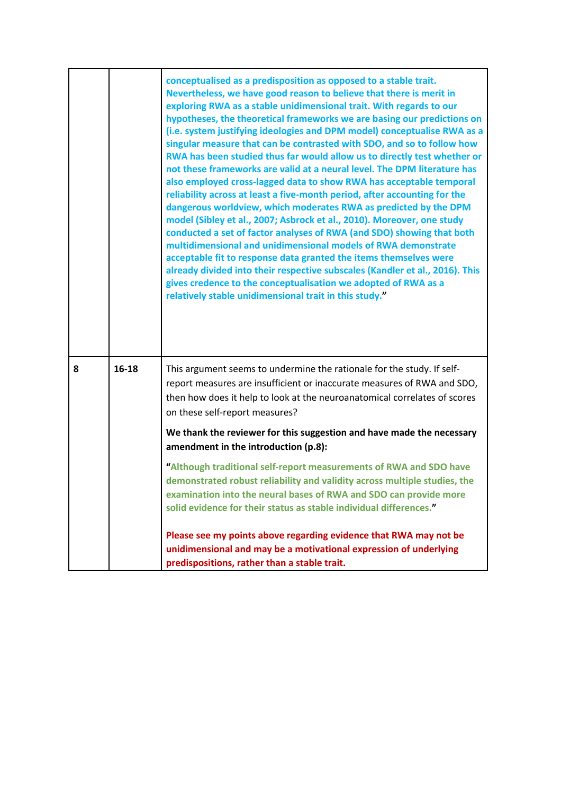|   |         | conceptualised as a predisposition as opposed to a stable trait.<br>Nevertheless, we have good reason to believe that there is merit in<br>exploring RWA as a stable unidimensional trait. With regards to our<br>hypotheses, the theoretical frameworks we are basing our predictions on<br>(i.e. system justifying ideologies and DPM model) conceptualise RWA as a<br>singular measure that can be contrasted with SDO, and so to follow how<br>RWA has been studied thus far would allow us to directly test whether or<br>not these frameworks are valid at a neural level. The DPM literature has<br>also employed cross-lagged data to show RWA has acceptable temporal<br>reliability across at least a five-month period, after accounting for the<br>dangerous worldview, which moderates RWA as predicted by the DPM<br>model (Sibley et al., 2007; Asbrock et al., 2010). Moreover, one study<br>conducted a set of factor analyses of RWA (and SDO) showing that both<br>multidimensional and unidimensional models of RWA demonstrate<br>acceptable fit to response data granted the items themselves were<br>already divided into their respective subscales (Kandler et al., 2016). This<br>gives credence to the conceptualisation we adopted of RWA as a<br>relatively stable unidimensional trait in this study." |
|---|---------|--------------------------------------------------------------------------------------------------------------------------------------------------------------------------------------------------------------------------------------------------------------------------------------------------------------------------------------------------------------------------------------------------------------------------------------------------------------------------------------------------------------------------------------------------------------------------------------------------------------------------------------------------------------------------------------------------------------------------------------------------------------------------------------------------------------------------------------------------------------------------------------------------------------------------------------------------------------------------------------------------------------------------------------------------------------------------------------------------------------------------------------------------------------------------------------------------------------------------------------------------------------------------------------------------------------------------------------|
| 8 | $16-18$ | This argument seems to undermine the rationale for the study. If self-<br>report measures are insufficient or inaccurate measures of RWA and SDO,<br>then how does it help to look at the neuroanatomical correlates of scores<br>on these self-report measures?                                                                                                                                                                                                                                                                                                                                                                                                                                                                                                                                                                                                                                                                                                                                                                                                                                                                                                                                                                                                                                                                     |
|   |         | We thank the reviewer for this suggestion and have made the necessary<br>amendment in the introduction (p.8):                                                                                                                                                                                                                                                                                                                                                                                                                                                                                                                                                                                                                                                                                                                                                                                                                                                                                                                                                                                                                                                                                                                                                                                                                        |
|   |         | "Although traditional self-report measurements of RWA and SDO have<br>demonstrated robust reliability and validity across multiple studies, the<br>examination into the neural bases of RWA and SDO can provide more<br>solid evidence for their status as stable individual differences."                                                                                                                                                                                                                                                                                                                                                                                                                                                                                                                                                                                                                                                                                                                                                                                                                                                                                                                                                                                                                                           |
|   |         | Please see my points above regarding evidence that RWA may not be<br>unidimensional and may be a motivational expression of underlying<br>predispositions, rather than a stable trait.                                                                                                                                                                                                                                                                                                                                                                                                                                                                                                                                                                                                                                                                                                                                                                                                                                                                                                                                                                                                                                                                                                                                               |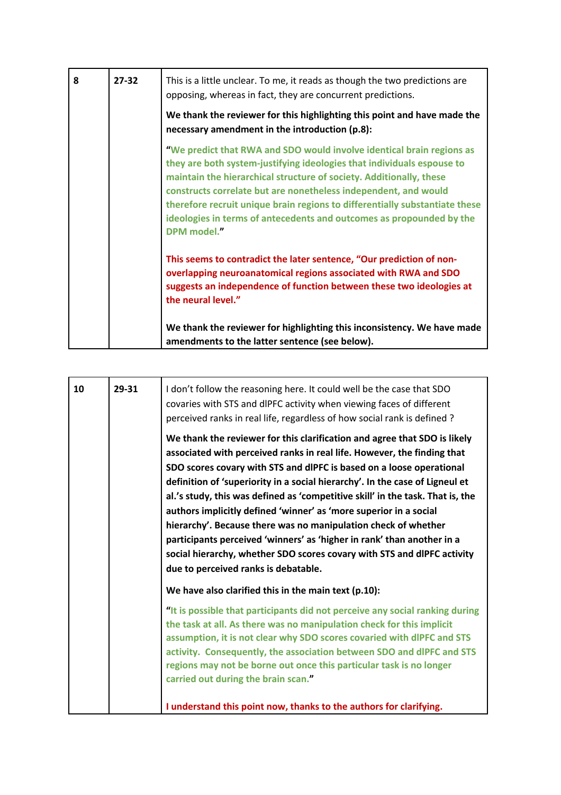| 8 | $27 - 32$ | This is a little unclear. To me, it reads as though the two predictions are<br>opposing, whereas in fact, they are concurrent predictions.                                                                                                                                                                                                                                                                                                                      |
|---|-----------|-----------------------------------------------------------------------------------------------------------------------------------------------------------------------------------------------------------------------------------------------------------------------------------------------------------------------------------------------------------------------------------------------------------------------------------------------------------------|
|   |           | We thank the reviewer for this highlighting this point and have made the<br>necessary amendment in the introduction (p.8):                                                                                                                                                                                                                                                                                                                                      |
|   |           | "We predict that RWA and SDO would involve identical brain regions as<br>they are both system-justifying ideologies that individuals espouse to<br>maintain the hierarchical structure of society. Additionally, these<br>constructs correlate but are nonetheless independent, and would<br>therefore recruit unique brain regions to differentially substantiate these<br>ideologies in terms of antecedents and outcomes as propounded by the<br>DPM model." |
|   |           | This seems to contradict the later sentence, "Our prediction of non-<br>overlapping neuroanatomical regions associated with RWA and SDO<br>suggests an independence of function between these two ideologies at<br>the neural level."                                                                                                                                                                                                                           |
|   |           | We thank the reviewer for highlighting this inconsistency. We have made<br>amendments to the latter sentence (see below).                                                                                                                                                                                                                                                                                                                                       |

| 10 | 29-31 | I don't follow the reasoning here. It could well be the case that SDO<br>covaries with STS and dIPFC activity when viewing faces of different<br>perceived ranks in real life, regardless of how social rank is defined?<br>We thank the reviewer for this clarification and agree that SDO is likely                                                                                                                                                                                                                                                                                                                                                 |
|----|-------|-------------------------------------------------------------------------------------------------------------------------------------------------------------------------------------------------------------------------------------------------------------------------------------------------------------------------------------------------------------------------------------------------------------------------------------------------------------------------------------------------------------------------------------------------------------------------------------------------------------------------------------------------------|
|    |       | associated with perceived ranks in real life. However, the finding that<br>SDO scores covary with STS and dIPFC is based on a loose operational<br>definition of 'superiority in a social hierarchy'. In the case of Ligneul et<br>al.'s study, this was defined as 'competitive skill' in the task. That is, the<br>authors implicitly defined 'winner' as 'more superior in a social<br>hierarchy'. Because there was no manipulation check of whether<br>participants perceived 'winners' as 'higher in rank' than another in a<br>social hierarchy, whether SDO scores covary with STS and dIPFC activity<br>due to perceived ranks is debatable. |
|    |       | We have also clarified this in the main text (p.10):                                                                                                                                                                                                                                                                                                                                                                                                                                                                                                                                                                                                  |
|    |       | "It is possible that participants did not perceive any social ranking during<br>the task at all. As there was no manipulation check for this implicit<br>assumption, it is not clear why SDO scores covaried with dIPFC and STS<br>activity. Consequently, the association between SDO and dlPFC and STS<br>regions may not be borne out once this particular task is no longer<br>carried out during the brain scan."                                                                                                                                                                                                                                |
|    |       | I understand this point now, thanks to the authors for clarifying.                                                                                                                                                                                                                                                                                                                                                                                                                                                                                                                                                                                    |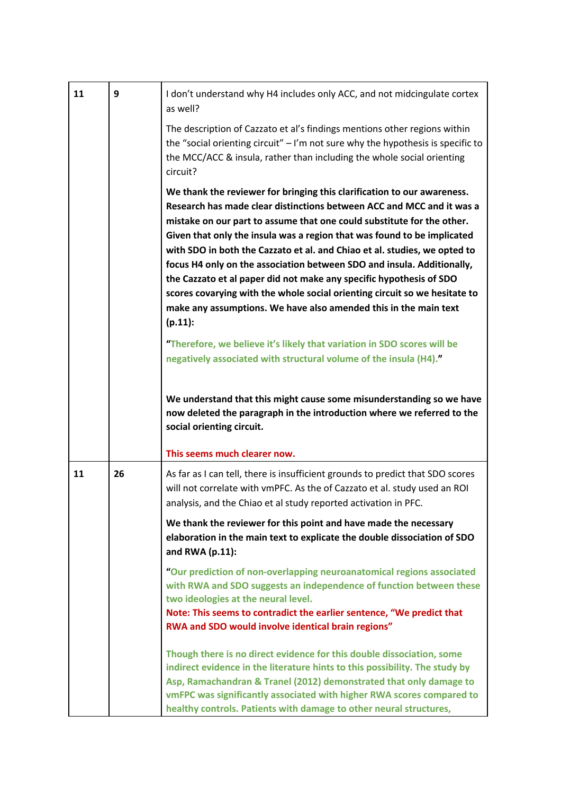| 11 | 9  | I don't understand why H4 includes only ACC, and not midcingulate cortex<br>as well?                                                                                                                                                                                                                                                                                                                                                                                                                                                                                                                                                                                                                                                                                                                                                                |
|----|----|-----------------------------------------------------------------------------------------------------------------------------------------------------------------------------------------------------------------------------------------------------------------------------------------------------------------------------------------------------------------------------------------------------------------------------------------------------------------------------------------------------------------------------------------------------------------------------------------------------------------------------------------------------------------------------------------------------------------------------------------------------------------------------------------------------------------------------------------------------|
|    |    | The description of Cazzato et al's findings mentions other regions within<br>the "social orienting circuit" $-1$ 'm not sure why the hypothesis is specific to<br>the MCC/ACC & insula, rather than including the whole social orienting<br>circuit?                                                                                                                                                                                                                                                                                                                                                                                                                                                                                                                                                                                                |
|    |    | We thank the reviewer for bringing this clarification to our awareness.<br>Research has made clear distinctions between ACC and MCC and it was a<br>mistake on our part to assume that one could substitute for the other.<br>Given that only the insula was a region that was found to be implicated<br>with SDO in both the Cazzato et al. and Chiao et al. studies, we opted to<br>focus H4 only on the association between SDO and insula. Additionally,<br>the Cazzato et al paper did not make any specific hypothesis of SDO<br>scores covarying with the whole social orienting circuit so we hesitate to<br>make any assumptions. We have also amended this in the main text<br>$(p.11)$ :<br>"Therefore, we believe it's likely that variation in SDO scores will be<br>negatively associated with structural volume of the insula (H4)." |
|    |    | We understand that this might cause some misunderstanding so we have<br>now deleted the paragraph in the introduction where we referred to the<br>social orienting circuit.<br>This seems much clearer now.                                                                                                                                                                                                                                                                                                                                                                                                                                                                                                                                                                                                                                         |
| 11 | 26 | As far as I can tell, there is insufficient grounds to predict that SDO scores<br>will not correlate with vmPFC. As the of Cazzato et al. study used an ROI<br>analysis, and the Chiao et al study reported activation in PFC.                                                                                                                                                                                                                                                                                                                                                                                                                                                                                                                                                                                                                      |
|    |    | We thank the reviewer for this point and have made the necessary<br>elaboration in the main text to explicate the double dissociation of SDO<br>and RWA (p.11):                                                                                                                                                                                                                                                                                                                                                                                                                                                                                                                                                                                                                                                                                     |
|    |    | "Our prediction of non-overlapping neuroanatomical regions associated<br>with RWA and SDO suggests an independence of function between these<br>two ideologies at the neural level.<br>Note: This seems to contradict the earlier sentence, "We predict that<br>RWA and SDO would involve identical brain regions"                                                                                                                                                                                                                                                                                                                                                                                                                                                                                                                                  |
|    |    | Though there is no direct evidence for this double dissociation, some<br>indirect evidence in the literature hints to this possibility. The study by<br>Asp, Ramachandran & Tranel (2012) demonstrated that only damage to<br>vmFPC was significantly associated with higher RWA scores compared to<br>healthy controls. Patients with damage to other neural structures,                                                                                                                                                                                                                                                                                                                                                                                                                                                                           |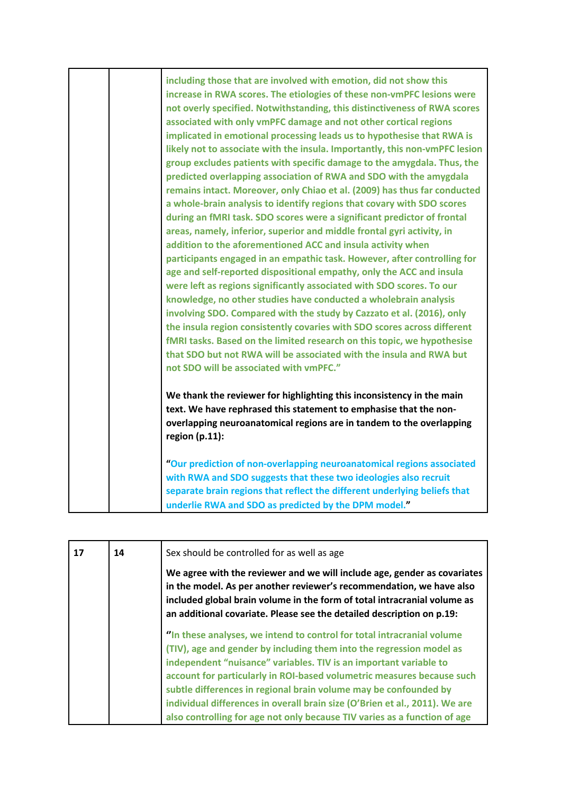| including those that are involved with emotion, did not show this<br>increase in RWA scores. The etiologies of these non-vmPFC lesions were<br>not overly specified. Notwithstanding, this distinctiveness of RWA scores<br>associated with only vmPFC damage and not other cortical regions<br>implicated in emotional processing leads us to hypothesise that RWA is<br>likely not to associate with the insula. Importantly, this non-vmPFC lesion<br>group excludes patients with specific damage to the amygdala. Thus, the<br>predicted overlapping association of RWA and SDO with the amygdala<br>remains intact. Moreover, only Chiao et al. (2009) has thus far conducted<br>a whole-brain analysis to identify regions that covary with SDO scores<br>during an fMRI task. SDO scores were a significant predictor of frontal<br>areas, namely, inferior, superior and middle frontal gyri activity, in<br>addition to the aforementioned ACC and insula activity when<br>participants engaged in an empathic task. However, after controlling for<br>age and self-reported dispositional empathy, only the ACC and insula<br>were left as regions significantly associated with SDO scores. To our<br>knowledge, no other studies have conducted a wholebrain analysis<br>involving SDO. Compared with the study by Cazzato et al. (2016), only<br>the insula region consistently covaries with SDO scores across different<br>fMRI tasks. Based on the limited research on this topic, we hypothesise<br>that SDO but not RWA will be associated with the insula and RWA but<br>not SDO will be associated with vmPFC." |
|--------------------------------------------------------------------------------------------------------------------------------------------------------------------------------------------------------------------------------------------------------------------------------------------------------------------------------------------------------------------------------------------------------------------------------------------------------------------------------------------------------------------------------------------------------------------------------------------------------------------------------------------------------------------------------------------------------------------------------------------------------------------------------------------------------------------------------------------------------------------------------------------------------------------------------------------------------------------------------------------------------------------------------------------------------------------------------------------------------------------------------------------------------------------------------------------------------------------------------------------------------------------------------------------------------------------------------------------------------------------------------------------------------------------------------------------------------------------------------------------------------------------------------------------------------------------------------------------------------------------------------------|
| We thank the reviewer for highlighting this inconsistency in the main<br>text. We have rephrased this statement to emphasise that the non-<br>overlapping neuroanatomical regions are in tandem to the overlapping<br>region $(p.11)$ :<br>"Our prediction of non-overlapping neuroanatomical regions associated<br>with RWA and SDO suggests that these two ideologies also recruit<br>separate brain regions that reflect the different underlying beliefs that<br>underlie RWA and SDO as predicted by the DPM model."                                                                                                                                                                                                                                                                                                                                                                                                                                                                                                                                                                                                                                                                                                                                                                                                                                                                                                                                                                                                                                                                                                            |
|                                                                                                                                                                                                                                                                                                                                                                                                                                                                                                                                                                                                                                                                                                                                                                                                                                                                                                                                                                                                                                                                                                                                                                                                                                                                                                                                                                                                                                                                                                                                                                                                                                      |

| 17 | 14 | Sex should be controlled for as well as age                                                                                                                                                                                                                                                                                                                                                                                                                                                                                   |
|----|----|-------------------------------------------------------------------------------------------------------------------------------------------------------------------------------------------------------------------------------------------------------------------------------------------------------------------------------------------------------------------------------------------------------------------------------------------------------------------------------------------------------------------------------|
|    |    | We agree with the reviewer and we will include age, gender as covariates<br>in the model. As per another reviewer's recommendation, we have also<br>included global brain volume in the form of total intracranial volume as<br>an additional covariate. Please see the detailed description on p.19:                                                                                                                                                                                                                         |
|    |    | "In these analyses, we intend to control for total intracranial volume<br>(TIV), age and gender by including them into the regression model as<br>independent "nuisance" variables. TIV is an important variable to<br>account for particularly in ROI-based volumetric measures because such<br>subtle differences in regional brain volume may be confounded by<br>individual differences in overall brain size (O'Brien et al., 2011). We are<br>also controlling for age not only because TIV varies as a function of age |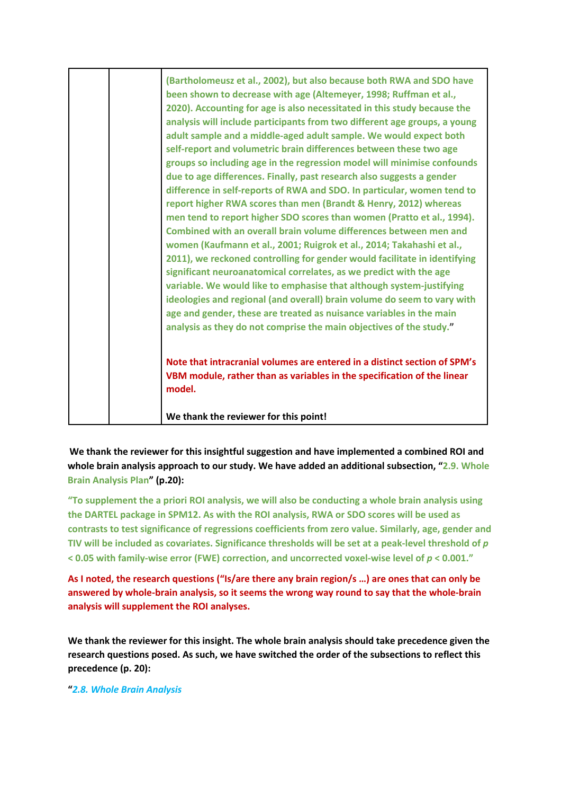| (Bartholomeusz et al., 2002), but also because both RWA and SDO have<br>been shown to decrease with age (Altemeyer, 1998; Ruffman et al.,<br>2020). Accounting for age is also necessitated in this study because the<br>analysis will include participants from two different age groups, a young<br>adult sample and a middle-aged adult sample. We would expect both<br>self-report and volumetric brain differences between these two age<br>groups so including age in the regression model will minimise confounds<br>due to age differences. Finally, past research also suggests a gender<br>difference in self-reports of RWA and SDO. In particular, women tend to<br>report higher RWA scores than men (Brandt & Henry, 2012) whereas<br>men tend to report higher SDO scores than women (Pratto et al., 1994).<br>Combined with an overall brain volume differences between men and<br>women (Kaufmann et al., 2001; Ruigrok et al., 2014; Takahashi et al.,<br>2011), we reckoned controlling for gender would facilitate in identifying<br>significant neuroanatomical correlates, as we predict with the age<br>variable. We would like to emphasise that although system-justifying<br>ideologies and regional (and overall) brain volume do seem to vary with<br>age and gender, these are treated as nuisance variables in the main<br>analysis as they do not comprise the main objectives of the study." |
|------------------------------------------------------------------------------------------------------------------------------------------------------------------------------------------------------------------------------------------------------------------------------------------------------------------------------------------------------------------------------------------------------------------------------------------------------------------------------------------------------------------------------------------------------------------------------------------------------------------------------------------------------------------------------------------------------------------------------------------------------------------------------------------------------------------------------------------------------------------------------------------------------------------------------------------------------------------------------------------------------------------------------------------------------------------------------------------------------------------------------------------------------------------------------------------------------------------------------------------------------------------------------------------------------------------------------------------------------------------------------------------------------------------------------|
| Note that intracranial volumes are entered in a distinct section of SPM's<br>VBM module, rather than as variables in the specification of the linear<br>model.                                                                                                                                                                                                                                                                                                                                                                                                                                                                                                                                                                                                                                                                                                                                                                                                                                                                                                                                                                                                                                                                                                                                                                                                                                                               |
| We thank the reviewer for this point!                                                                                                                                                                                                                                                                                                                                                                                                                                                                                                                                                                                                                                                                                                                                                                                                                                                                                                                                                                                                                                                                                                                                                                                                                                                                                                                                                                                        |

**We thank the reviewer for this insightful suggestion and have implemented a combined ROI and whole brain analysis approach to our study. We have added an additional subsection, "2.9. Whole Brain Analysis Plan" (p.20):** 

**"To supplement the a priori ROI analysis, we will also be conducting a whole brain analysis using the DARTEL package in SPM12. As with the ROI analysis, RWA or SDO scores will be used as contrasts to test significance of regressions coefficients from zero value. Similarly, age, gender and TIV will be included as covariates. Significance thresholds will be set at a peak-level threshold of** *p* **< 0.05 with family-wise error (FWE) correction, and uncorrected voxel-wise level of** *p* **< 0.001."**

**As I noted, the research questions ("Is/are there any brain region/s …) are ones that can only be answered by whole-brain analysis, so it seems the wrong way round to say that the whole-brain analysis will supplement the ROI analyses.** 

**We thank the reviewer for this insight. The whole brain analysis should take precedence given the research questions posed. As such, we have switched the order of the subsections to reflect this precedence (p. 20):**

**"***2.8. Whole Brain Analysis*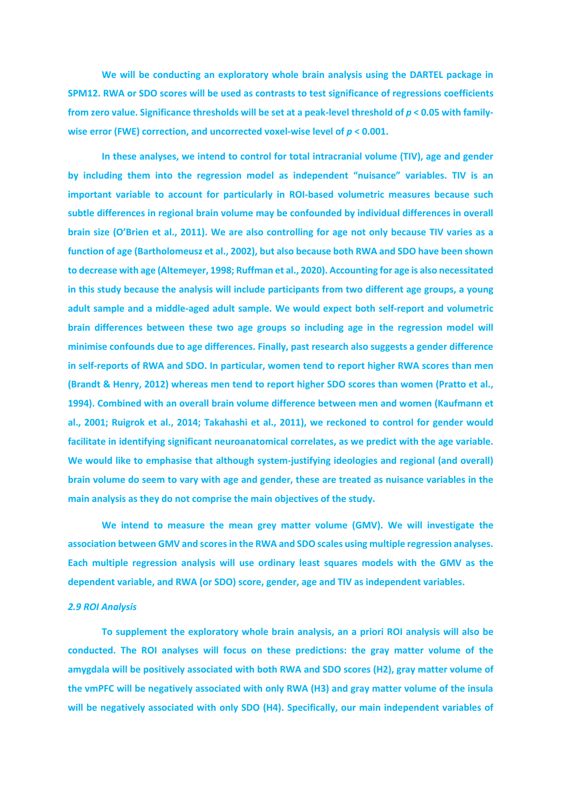**We will be conducting an exploratory whole brain analysis using the DARTEL package in SPM12. RWA or SDO scores will be used as contrasts to test significance of regressions coefficients from zero value. Significance thresholds will be set at a peak-level threshold of** *p* **< 0.05 with familywise error (FWE) correction, and uncorrected voxel-wise level of** *p* **< 0.001.**

**In these analyses, we intend to control for total intracranial volume (TIV), age and gender by including them into the regression model as independent "nuisance" variables. TIV is an important variable to account for particularly in ROI-based volumetric measures because such subtle differences in regional brain volume may be confounded by individual differences in overall brain size (O'Brien et al., 2011). We are also controlling for age not only because TIV varies as a function of age (Bartholomeusz et al., 2002), but also because both RWA and SDO have been shown to decrease with age (Altemeyer, 1998; Ruffman et al., 2020). Accounting for age is also necessitated in this study because the analysis will include participants from two different age groups, a young adult sample and a middle-aged adult sample. We would expect both self-report and volumetric brain differences between these two age groups so including age in the regression model will minimise confounds due to age differences. Finally, past research also suggests a gender difference in self-reports of RWA and SDO. In particular, women tend to report higher RWA scores than men (Brandt & Henry, 2012) whereas men tend to report higher SDO scores than women (Pratto et al., 1994). Combined with an overall brain volume difference between men and women (Kaufmann et al., 2001; Ruigrok et al., 2014; Takahashi et al., 2011), we reckoned to control for gender would facilitate in identifying significant neuroanatomical correlates, as we predict with the age variable. We would like to emphasise that although system-justifying ideologies and regional (and overall) brain volume do seem to vary with age and gender, these are treated as nuisance variables in the main analysis as they do not comprise the main objectives of the study.**

**We intend to measure the mean grey matter volume (GMV). We will investigate the association between GMV and scores in the RWA and SDO scales using multiple regression analyses. Each multiple regression analysis will use ordinary least squares models with the GMV as the dependent variable, and RWA (or SDO) score, gender, age and TIV as independent variables.**

#### *2.9 ROI Analysis*

**To supplement the exploratory whole brain analysis, an a priori ROI analysis will also be conducted. The ROI analyses will focus on these predictions: the gray matter volume of the amygdala will be positively associated with both RWA and SDO scores (H2), gray matter volume of the vmPFC will be negatively associated with only RWA (H3) and gray matter volume of the insula will be negatively associated with only SDO (H4). Specifically, our main independent variables of**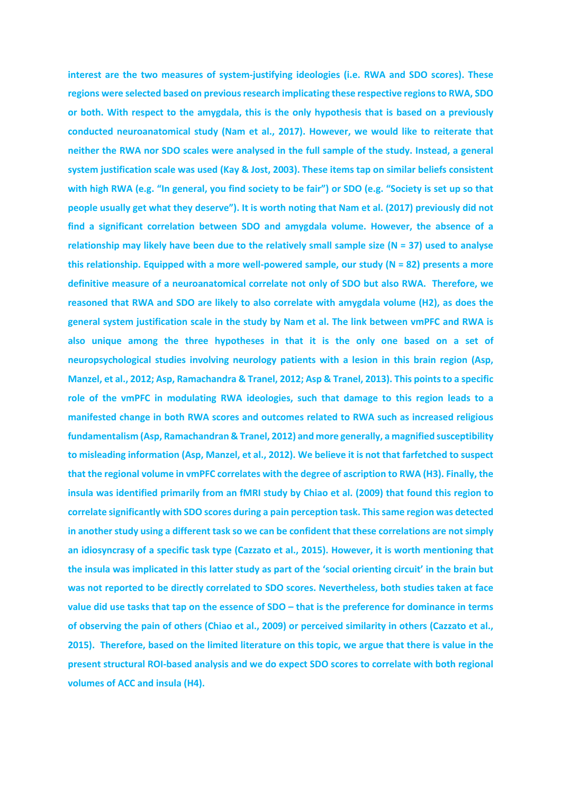**interest are the two measures of system-justifying ideologies (i.e. RWA and SDO scores). These regions were selected based on previous research implicating these respective regions to RWA, SDO or both. With respect to the amygdala, this is the only hypothesis that is based on a previously conducted neuroanatomical study (Nam et al., 2017). However, we would like to reiterate that neither the RWA nor SDO scales were analysed in the full sample of the study. Instead, a general system justification scale was used (Kay & Jost, 2003). These items tap on similar beliefs consistent with high RWA (e.g. "In general, you find society to be fair") or SDO (e.g. "Society is set up so that people usually get what they deserve"). It is worth noting that Nam et al. (2017) previously did not find a significant correlation between SDO and amygdala volume. However, the absence of a relationship may likely have been due to the relatively small sample size (N = 37) used to analyse this relationship. Equipped with a more well-powered sample, our study (N = 82) presents a more definitive measure of a neuroanatomical correlate not only of SDO but also RWA. Therefore, we reasoned that RWA and SDO are likely to also correlate with amygdala volume (H2), as does the general system justification scale in the study by Nam et al. The link between vmPFC and RWA is also unique among the three hypotheses in that it is the only one based on a set of neuropsychological studies involving neurology patients with a lesion in this brain region (Asp, Manzel, et al., 2012; Asp, Ramachandra & Tranel, 2012; Asp & Tranel, 2013). This points to a specific role of the vmPFC in modulating RWA ideologies, such that damage to this region leads to a manifested change in both RWA scores and outcomes related to RWA such as increased religious fundamentalism (Asp, Ramachandran & Tranel, 2012) and more generally, a magnified susceptibility to misleading information (Asp, Manzel, et al., 2012). We believe it is not that farfetched to suspect that the regional volume in vmPFC correlates with the degree of ascription to RWA (H3). Finally, the insula was identified primarily from an fMRI study by Chiao et al. (2009) that found this region to correlate significantly with SDO scores during a pain perception task. This same region was detected in another study using a different task so we can be confident that these correlations are not simply an idiosyncrasy of a specific task type (Cazzato et al., 2015). However, it is worth mentioning that the insula was implicated in this latter study as part of the 'social orienting circuit' in the brain but was not reported to be directly correlated to SDO scores. Nevertheless, both studies taken at face value did use tasks that tap on the essence of SDO – that is the preference for dominance in terms of observing the pain of others (Chiao et al., 2009) or perceived similarity in others (Cazzato et al., 2015). Therefore, based on the limited literature on this topic, we argue that there is value in the present structural ROI-based analysis and we do expect SDO scores to correlate with both regional volumes of ACC and insula (H4).**